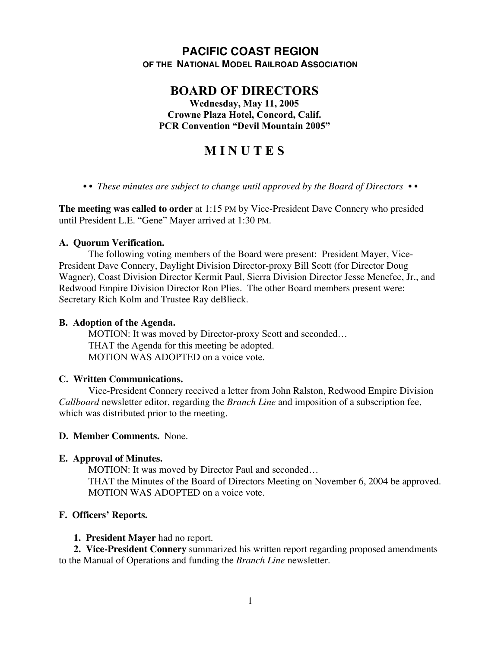## **PACIFIC COAST REGION OF THE NATIONAL MODEL RAILROAD ASSOCIATION**

# **BOARD OF DIRECTORS**

**Wednesday, May 11, 2005 Crowne Plaza Hotel, Concord, Calif. PCR Convention "Devil Mountain 2005"**

# **M I N U T E S**

*• • These minutes are subject to change until approved by the Board of Directors • •*

**The meeting was called to order** at 1:15 PM by Vice-President Dave Connery who presided until President L.E. "Gene" Mayer arrived at 1:30 PM.

#### **A. Quorum Verification.**

The following voting members of the Board were present: President Mayer, Vice-President Dave Connery, Daylight Division Director-proxy Bill Scott (for Director Doug Wagner), Coast Division Director Kermit Paul, Sierra Division Director Jesse Menefee, Jr., and Redwood Empire Division Director Ron Plies. The other Board members present were: Secretary Rich Kolm and Trustee Ray deBlieck.

#### **B. Adoption of the Agenda.**

MOTION: It was moved by Director-proxy Scott and seconded… THAT the Agenda for this meeting be adopted. MOTION WAS ADOPTED on a voice vote.

## **C. Written Communications.**

Vice-President Connery received a letter from John Ralston, Redwood Empire Division *Callboard* newsletter editor, regarding the *Branch Line* and imposition of a subscription fee, which was distributed prior to the meeting.

## **D. Member Comments.** None.

## **E. Approval of Minutes.**

MOTION: It was moved by Director Paul and seconded… THAT the Minutes of the Board of Directors Meeting on November 6, 2004 be approved. MOTION WAS ADOPTED on a voice vote.

## **F. Officers' Reports.**

#### **1. President Mayer** had no report.

**2. Vice-President Connery** summarized his written report regarding proposed amendments to the Manual of Operations and funding the *Branch Line* newsletter.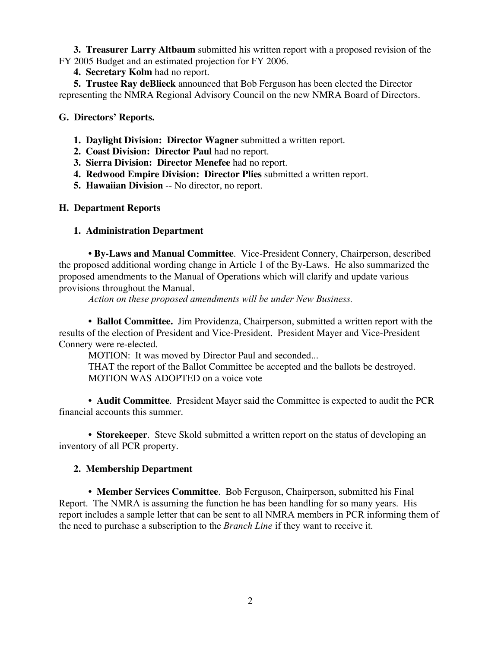**3. Treasurer Larry Altbaum** submitted his written report with a proposed revision of the FY 2005 Budget and an estimated projection for FY 2006.

**4. Secretary Kolm** had no report.

**5. Trustee Ray deBlieck** announced that Bob Ferguson has been elected the Director representing the NMRA Regional Advisory Council on the new NMRA Board of Directors.

#### **G. Directors' Reports.**

- **1. Daylight Division: Director Wagner** submitted a written report.
- **2. Coast Division: Director Paul** had no report.
- **3. Sierra Division: Director Menefee** had no report.
- **4. Redwood Empire Division: Director Plies** submitted a written report.
- **5. Hawaiian Division** -- No director, no report.

#### **H. Department Reports**

#### **1. Administration Department**

**• By-Laws and Manual Committee**. Vice-President Connery, Chairperson, described the proposed additional wording change in Article 1 of the By-Laws. He also summarized the proposed amendments to the Manual of Operations which will clarify and update various provisions throughout the Manual.

*Action on these proposed amendments will be under New Business.*

**• Ballot Committee.** Jim Providenza, Chairperson, submitted a written report with the results of the election of President and Vice-President. President Mayer and Vice-President Connery were re-elected.

MOTION: It was moved by Director Paul and seconded...

THAT the report of the Ballot Committee be accepted and the ballots be destroyed. MOTION WAS ADOPTED on a voice vote

**• Audit Committee**. President Mayer said the Committee is expected to audit the PCR financial accounts this summer.

**• Storekeeper**. Steve Skold submitted a written report on the status of developing an inventory of all PCR property.

## **2. Membership Department**

**• Member Services Committee**. Bob Ferguson, Chairperson, submitted his Final Report. The NMRA is assuming the function he has been handling for so many years. His report includes a sample letter that can be sent to all NMRA members in PCR informing them of the need to purchase a subscription to the *Branch Line* if they want to receive it.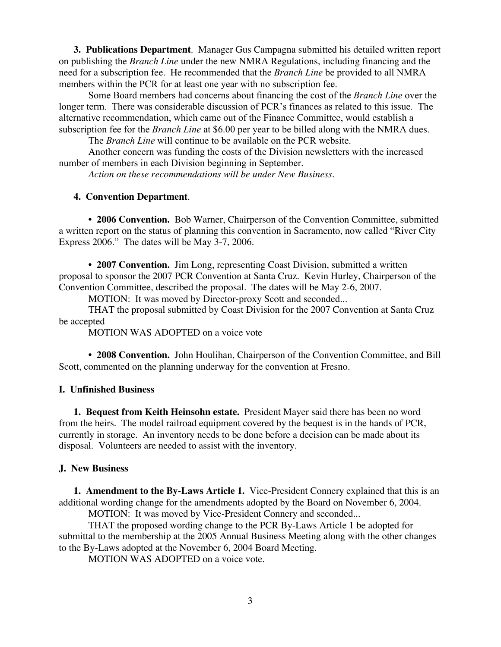**3. Publications Department**. Manager Gus Campagna submitted his detailed written report on publishing the *Branch Line* under the new NMRA Regulations, including financing and the need for a subscription fee. He recommended that the *Branch Line* be provided to all NMRA members within the PCR for at least one year with no subscription fee.

Some Board members had concerns about financing the cost of the *Branch Line* over the longer term. There was considerable discussion of PCR's finances as related to this issue. The alternative recommendation, which came out of the Finance Committee, would establish a subscription fee for the *Branch Line* at \$6.00 per year to be billed along with the NMRA dues.

The *Branch Line* will continue to be available on the PCR website.

Another concern was funding the costs of the Division newsletters with the increased number of members in each Division beginning in September.

*Action on these recommendations will be under New Business.*

#### **4. Convention Department**.

**• 2006 Convention.** Bob Warner, Chairperson of the Convention Committee, submitted a written report on the status of planning this convention in Sacramento, now called "River City Express 2006." The dates will be May 3-7, 2006.

**• 2007 Convention.** Jim Long, representing Coast Division, submitted a written proposal to sponsor the 2007 PCR Convention at Santa Cruz. Kevin Hurley, Chairperson of the Convention Committee, described the proposal. The dates will be May 2-6, 2007.

MOTION: It was moved by Director-proxy Scott and seconded...

THAT the proposal submitted by Coast Division for the 2007 Convention at Santa Cruz be accepted

MOTION WAS ADOPTED on a voice vote

**• 2008 Convention.** John Houlihan, Chairperson of the Convention Committee, and Bill Scott, commented on the planning underway for the convention at Fresno.

#### **I. Unfinished Business**

**1. Bequest from Keith Heinsohn estate.** President Mayer said there has been no word from the heirs. The model railroad equipment covered by the bequest is in the hands of PCR, currently in storage. An inventory needs to be done before a decision can be made about its disposal. Volunteers are needed to assist with the inventory.

#### **J. New Business**

**1. Amendment to the By-Laws Article 1.** Vice-President Connery explained that this is an additional wording change for the amendments adopted by the Board on November 6, 2004.

MOTION: It was moved by Vice-President Connery and seconded...

THAT the proposed wording change to the PCR By-Laws Article 1 be adopted for submittal to the membership at the 2005 Annual Business Meeting along with the other changes to the By-Laws adopted at the November 6, 2004 Board Meeting.

MOTION WAS ADOPTED on a voice vote.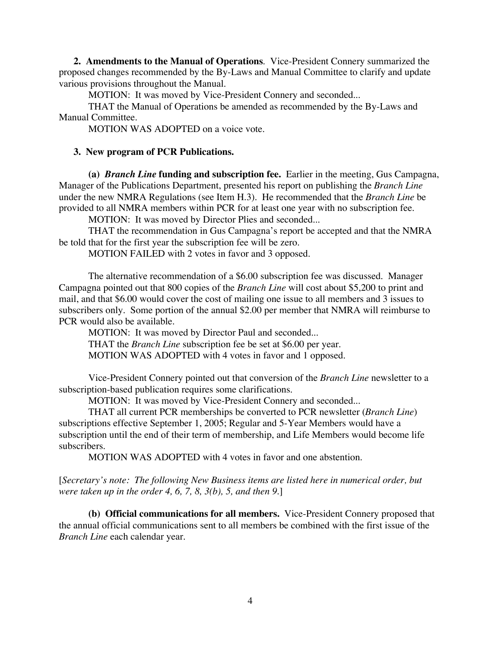**2. Amendments to the Manual of Operations**. Vice-President Connery summarized the proposed changes recommended by the By-Laws and Manual Committee to clarify and update various provisions throughout the Manual.

MOTION: It was moved by Vice-President Connery and seconded...

THAT the Manual of Operations be amended as recommended by the By-Laws and Manual Committee.

MOTION WAS ADOPTED on a voice vote.

#### **3. New program of PCR Publications.**

**(a)** *Branch Line* **funding and subscription fee.** Earlier in the meeting, Gus Campagna, Manager of the Publications Department, presented his report on publishing the *Branch Line* under the new NMRA Regulations (see Item H.3). He recommended that the *Branch Line* be provided to all NMRA members within PCR for at least one year with no subscription fee.

MOTION: It was moved by Director Plies and seconded...

THAT the recommendation in Gus Campagna's report be accepted and that the NMRA be told that for the first year the subscription fee will be zero.

MOTION FAILED with 2 votes in favor and 3 opposed.

The alternative recommendation of a \$6.00 subscription fee was discussed. Manager Campagna pointed out that 800 copies of the *Branch Line* will cost about \$5,200 to print and mail, and that \$6.00 would cover the cost of mailing one issue to all members and 3 issues to subscribers only. Some portion of the annual \$2.00 per member that NMRA will reimburse to PCR would also be available.

MOTION: It was moved by Director Paul and seconded... THAT the *Branch Line* subscription fee be set at \$6.00 per year. MOTION WAS ADOPTED with 4 votes in favor and 1 opposed.

Vice-President Connery pointed out that conversion of the *Branch Line* newsletter to a subscription-based publication requires some clarifications.

MOTION: It was moved by Vice-President Connery and seconded...

THAT all current PCR memberships be converted to PCR newsletter (*Branch Line*) subscriptions effective September 1, 2005; Regular and 5-Year Members would have a subscription until the end of their term of membership, and Life Members would become life subscribers.

MOTION WAS ADOPTED with 4 votes in favor and one abstention.

[*Secretary's note: The following New Business items are listed here in numerical order, but were taken up in the order 4, 6, 7, 8, 3(b), 5, and then 9.*]

**(b) Official communications for all members.** Vice-President Connery proposed that the annual official communications sent to all members be combined with the first issue of the *Branch Line* each calendar year.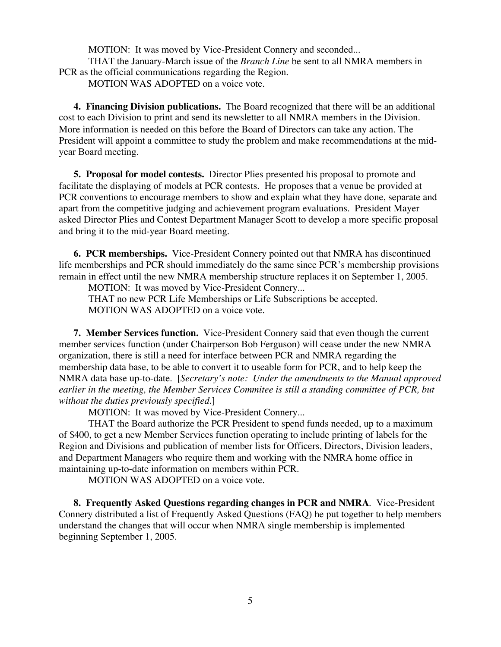MOTION: It was moved by Vice-President Connery and seconded...

THAT the January-March issue of the *Branch Line* be sent to all NMRA members in PCR as the official communications regarding the Region.

MOTION WAS ADOPTED on a voice vote.

**4. Financing Division publications.** The Board recognized that there will be an additional cost to each Division to print and send its newsletter to all NMRA members in the Division. More information is needed on this before the Board of Directors can take any action. The President will appoint a committee to study the problem and make recommendations at the midyear Board meeting.

**5. Proposal for model contests.** Director Plies presented his proposal to promote and facilitate the displaying of models at PCR contests. He proposes that a venue be provided at PCR conventions to encourage members to show and explain what they have done, separate and apart from the competitive judging and achievement program evaluations. President Mayer asked Director Plies and Contest Department Manager Scott to develop a more specific proposal and bring it to the mid-year Board meeting.

**6. PCR memberships.** Vice-President Connery pointed out that NMRA has discontinued life memberships and PCR should immediately do the same since PCR's membership provisions remain in effect until the new NMRA membership structure replaces it on September 1, 2005.

MOTION: It was moved by Vice-President Connery...

THAT no new PCR Life Memberships or Life Subscriptions be accepted. MOTION WAS ADOPTED on a voice vote.

**7. Member Services function.** Vice-President Connery said that even though the current member services function (under Chairperson Bob Ferguson) will cease under the new NMRA organization, there is still a need for interface between PCR and NMRA regarding the membership data base, to be able to convert it to useable form for PCR, and to help keep the NMRA data base up-to-date. [*Secretary's note: Under the amendments to the Manual approved earlier in the meeting, the Member Services Commitee is still a standing committee of PCR, but without the duties previously specified.*]

MOTION: It was moved by Vice-President Connery...

THAT the Board authorize the PCR President to spend funds needed, up to a maximum of \$400, to get a new Member Services function operating to include printing of labels for the Region and Divisions and publication of member lists for Officers, Directors, Division leaders, and Department Managers who require them and working with the NMRA home office in maintaining up-to-date information on members within PCR.

MOTION WAS ADOPTED on a voice vote.

**8. Frequently Asked Questions regarding changes in PCR and NMRA**. Vice-President Connery distributed a list of Frequently Asked Questions (FAQ) he put together to help members understand the changes that will occur when NMRA single membership is implemented beginning September 1, 2005.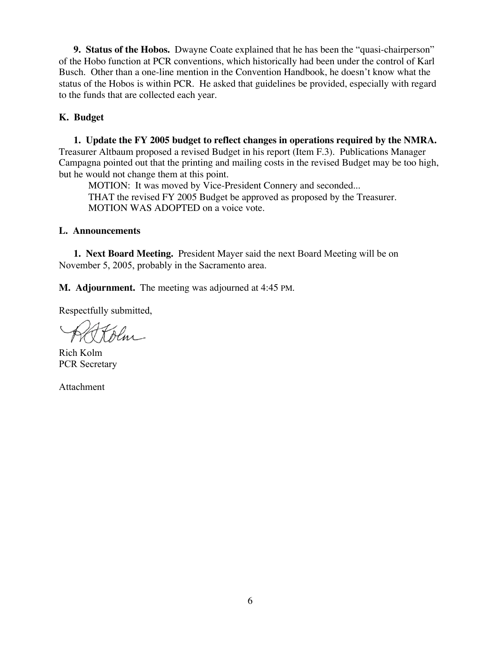**9. Status of the Hobos.** Dwayne Coate explained that he has been the "quasi-chairperson" of the Hobo function at PCR conventions, which historically had been under the control of Karl Busch. Other than a one-line mention in the Convention Handbook, he doesn't know what the status of the Hobos is within PCR. He asked that guidelines be provided, especially with regard to the funds that are collected each year.

#### **K. Budget**

**1. Update the FY 2005 budget to reflect changes in operations required by the NMRA.** Treasurer Altbaum proposed a revised Budget in his report (Item F.3). Publications Manager Campagna pointed out that the printing and mailing costs in the revised Budget may be too high, but he would not change them at this point.

MOTION: It was moved by Vice-President Connery and seconded... THAT the revised FY 2005 Budget be approved as proposed by the Treasurer. MOTION WAS ADOPTED on a voice vote.

#### **L. Announcements**

**1. Next Board Meeting.** President Mayer said the next Board Meeting will be on November 5, 2005, probably in the Sacramento area.

**M. Adjournment.** The meeting was adjourned at 4:45 PM.

Respectfully submitted,

Olm

Rich Kolm PCR Secretary

Attachment